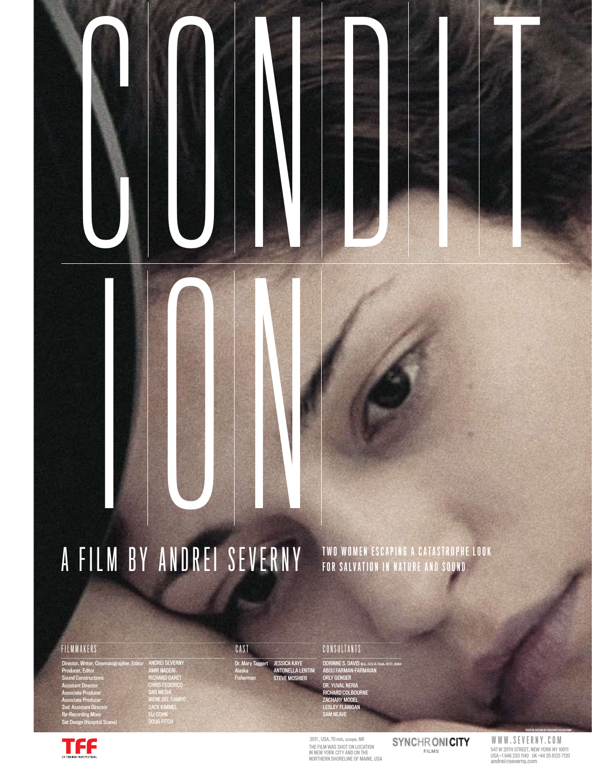# i on A FILM BY ANDREI SEVERNY TWO WOMEN ESCAPING A CATASTROPHE LOOK

#### FILMMAKERS

Director, Writer, Cinematographer, Editor Producer, Editor Sound Constructions Assistant Director Associate Producer Associate Producer 2nd Assistant Director Re-Recording Mixer Set Design (Hospital Scene)

TFF

ANDREI SEVERNY AMIR NADERI RICHARD GARET CHRIS FEDERICO DAR MESHI IRENE DEL CAMPO ZACK KIMMEL ELI COHN DOUG FITCH

#### Dr. Mary Tag<br>Alaska CAST

Alaska Fisherman

JESSICA KAYE ANTONELLA LENTINI STEVE MOSHIER

Cond i t

#### **CONSULTANTS**

DORINNE S. DAVIS M.A., CCC-A, FAAA, RCTC, BARA<br>ABOU FARMAN-FARMAIAN<br>ORLY GENGER<br>DR. YUVAL NERIA<br>RICHARD COLBOURNE ZACHARY MODEL LESLEY FLANIGAN SAM NEAVE

2011 , USA, 70 min, scope, NR THE FILM WAS SHOT ON LOCATION<br>IN NEW YORK CITY AND ON THE<br>NORTHERN SHORELINE OF MAINE, USA SYNCHRONICITY

**FILMS** 547 W 20TH STREET, NEW YORK NY 10011 USA +1 646 233 1140 UK +44 20 8123 7120 andrei@severny.com WWW.SEVERNY.COM

POSTER DESIGN BY RICHARD COLBOURNE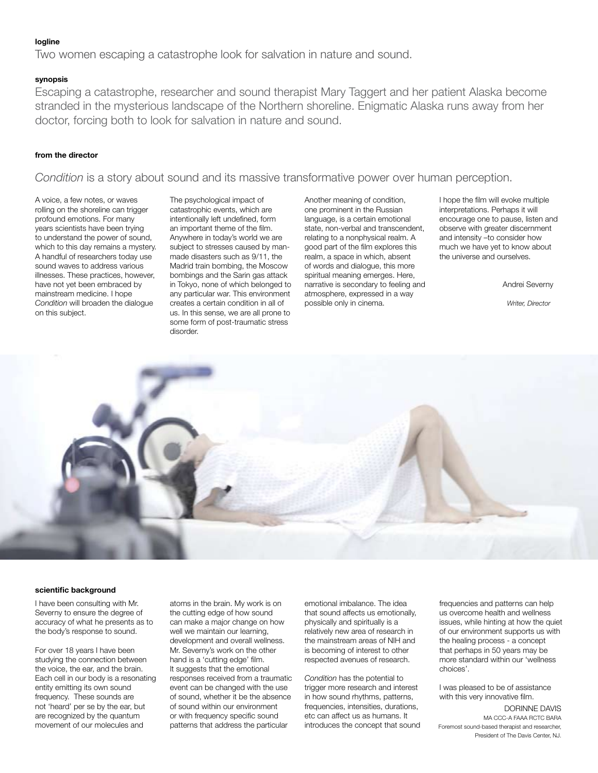#### **logline**

Two women escaping a catastrophe look for salvation in nature and sound.

#### **synopsis**

Escaping a catastrophe, researcher and sound therapist Mary Taggert and her patient Alaska become stranded in the mysterious landscape of the Northern shoreline. Enigmatic Alaska runs away from her doctor, forcing both to look for salvation in nature and sound.

#### **from the director**

*Condition* is a story about sound and its massive transformative power over human perception.

A voice, a few notes, or waves rolling on the shoreline can trigger profound emotions. For many years scientists have been trying to understand the power of sound, which to this day remains a mystery. A handful of researchers today use sound waves to address various illnesses. These practices, however, have not yet been embraced by mainstream medicine. I hope *Condition* will broaden the dialogue on this subject.

The psychological impact of catastrophic events, which are intentionally left undefined, form an important theme of the film. Anywhere in today's world we are subject to stresses caused by manmade disasters such as 9/11, the Madrid train bombing, the Moscow bombings and the Sarin gas attack in Tokyo, none of which belonged to any particular war. This environment creates a certain condition in all of us. In this sense, we are all prone to some form of post-traumatic stress disorder.

Another meaning of condition, one prominent in the Russian language, is a certain emotional state, non-verbal and transcendent, relating to a nonphysical realm. A good part of the film explores this realm, a space in which, absent of words and dialogue, this more spiritual meaning emerges. Here, narrative is secondary to feeling and atmosphere, expressed in a way possible only in cinema.

I hope the film will evoke multiple interpretations. Perhaps it will encourage one to pause, listen and observe with greater discernment and intensity –to consider how much we have yet to know about the universe and ourselves.

Andrei Severny

*Writer, Director*



#### **scientific background**

I have been consulting with Mr. Severny to ensure the degree of accuracy of what he presents as to the body's response to sound.

For over 18 years I have been studying the connection between the voice, the ear, and the brain. Each cell in our body is a resonating entity emitting its own sound frequency. These sounds are not 'heard' per se by the ear, but are recognized by the quantum movement of our molecules and

atoms in the brain. My work is on the cutting edge of how sound can make a major change on how well we maintain our learning, development and overall wellness. Mr. Severny's work on the other hand is a 'cutting edge' film. It suggests that the emotional responses received from a traumatic event can be changed with the use of sound, whether it be the absence of sound within our environment or with frequency specific sound patterns that address the particular

emotional imbalance. The idea that sound affects us emotionally, physically and spiritually is a relatively new area of research in the mainstream areas of NIH and is becoming of interest to other respected avenues of research.

*Condition* has the potential to trigger more research and interest in how sound rhythms, patterns, frequencies, intensities, durations, etc can affect us as humans. It introduces the concept that sound frequencies and patterns can help us overcome health and wellness issues, while hinting at how the quiet of our environment supports us with the healing process - a concept that perhaps in 50 years may be more standard within our 'wellness choices'.

I was pleased to be of assistance with this very innovative film.

#### DORINNE DAVIS MA CCC-A FAAA RCTC BARA

Foremost sound-based therapist and researcher, President of The Davis Center, NJ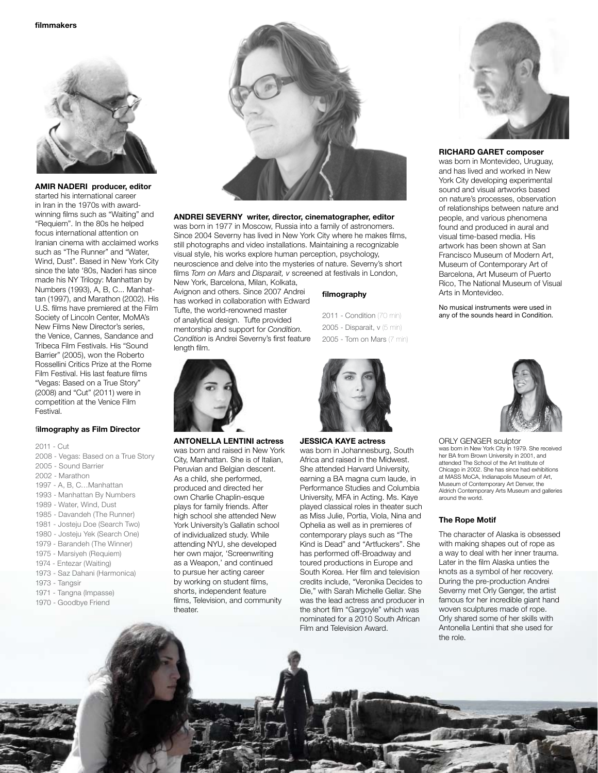

#### **AMIR NADERI producer, editor**

started his international career in Iran in the 1970s with awardwinning films such as "Waiting" and "Requiem". In the 80s he helped focus international attention on Iranian cinema with acclaimed works such as "The Runner" and "Water, Wind, Dust". Based in New York City since the late '80s, Naderi has since made his NY Trilogy: Manhattan by Numbers (1993), A, B, C... Manhattan (1997), and Marathon (2002). His U.S. films have premiered at the Film Society of Lincoln Center, MoMA's New Films New Director's series, the Venice, Cannes, Sandance and Tribeca Film Festivals. His "Sound Barrier" (2005), won the Roberto Rossellini Critics Prize at the Rome Film Festival. His last feature films "Vegas: Based on a True Story" (2008) and "Cut" (2011) were in competition at the Venice Film Festival.

#### f**ilmography as Film Director**

2011 - Cut 2008 - Vegas: Based on a True Story 2005 - Sound Barrier 2002 - Marathon 1997 - A, B, C…Manhattan 1993 - Manhattan By Numbers 1989 - Water, Wind, Dust 1985 - Davandeh (The Runner) 1981 - Josteju Doe (Search Two) 1980 - Josteju Yek (Search One) 1979 - Barandeh (The Winner) 1975 - Marsiyeh (Requiem) 1974 - Entezar (Waiting) 1973 - Saz Dahani (Harmonica) 1973 - Tangsir 1971 - Tangna (Impasse) 1970 - Goodbye Friend



#### **ANDREI SEVERNY writer, director, cinematographer, editor**

was born in 1977 in Moscow, Russia into a family of astronomers. Since 2004 Severny has lived in New York City where he makes films, still photographs and video installations. Maintaining a recognizable visual style, his works explore human perception, psychology, neuroscience and delve into the mysteries of nature. Severny's short films *Tom on Mars* and *Disparait, v* screened at festivals in London,

New York, Barcelona, Milan, Kolkata, Avignon and others. Since 2007 Andrei has worked in collaboration with Edward Tufte, the world-renowned master of analytical design. Tufte provided mentorship and support for *Condition. Condition* is Andrei Severny's first feature length film.



#### **ANTONELLA LENTINI actress**  was born and raised in New York City, Manhattan. She is of Italian, Peruvian and Belgian descent.

As a child, she performed, produced and directed her own Charlie Chaplin-esque plays for family friends. After high school she attended New York University's Gallatin school of individualized study. While attending NYU, she developed her own major, 'Screenwriting as a Weapon,' and continued to pursue her acting career by working on student films, shorts, independent feature films, Television, and community theater.

2011 - Condition (70 min) 2005 - Disparait, v (5 min) 2005 - Tom on Mars (7 min)

#### **JESSICA KAYE actress**

**filmography**

was born in Johannesburg, South Africa and raised in the Midwest. She attended Harvard University, earning a BA magna cum laude, in Performance Studies and Columbia University, MFA in Acting. Ms. Kaye played classical roles in theater such as Miss Julie, Portia, Viola, Nina and Ophelia as well as in premieres of contemporary plays such as "The Kind is Dead" and "Artfuckers". She has performed off-Broadway and toured productions in Europe and South Korea. Her film and television credits include, "Veronika Decides to Die," with Sarah Michelle Gellar. She was the lead actress and producer in the short film "Gargoyle" which was nominated for a 2010 South African Film and Television Award.



#### **RICHARD GARET composer**

was born in Montevideo, Uruguay, and has lived and worked in New York City developing experimental sound and visual artworks based on nature's processes, observation of relationships between nature and people, and various phenomena found and produced in aural and visual time-based media. His artwork has been shown at San Francisco Museum of Modern Art, Museum of Contemporary Art of Barcelona, Art Museum of Puerto Rico, The National Museum of Visual Arts in Montevideo.

No musical instruments were used in any of the sounds heard in Condition.



#### ORLY GENGER sculptor

was born in New York City in 1979. She received her BA from Brown University in 2001, and attended The School of the Art Institute of Chicago in 2002. She has since had exhibitions at MASS MoCA, Indianapolis Museum of Art, Museum of Contemporary Art Denver, the Aldrich Contemporary Arts Museum and galleries around the world.

#### **The Rope Motif**

The character of Alaska is obsessed with making shapes out of rope as a way to deal with her inner trauma. Later in the film Alaska unties the knots as a symbol of her recovery. During the pre-production Andrei Severny met Orly Genger, the artist famous for her incredible giant hand woven sculptures made of rope. Orly shared some of her skills with Antonella Lentini that she used for the role.